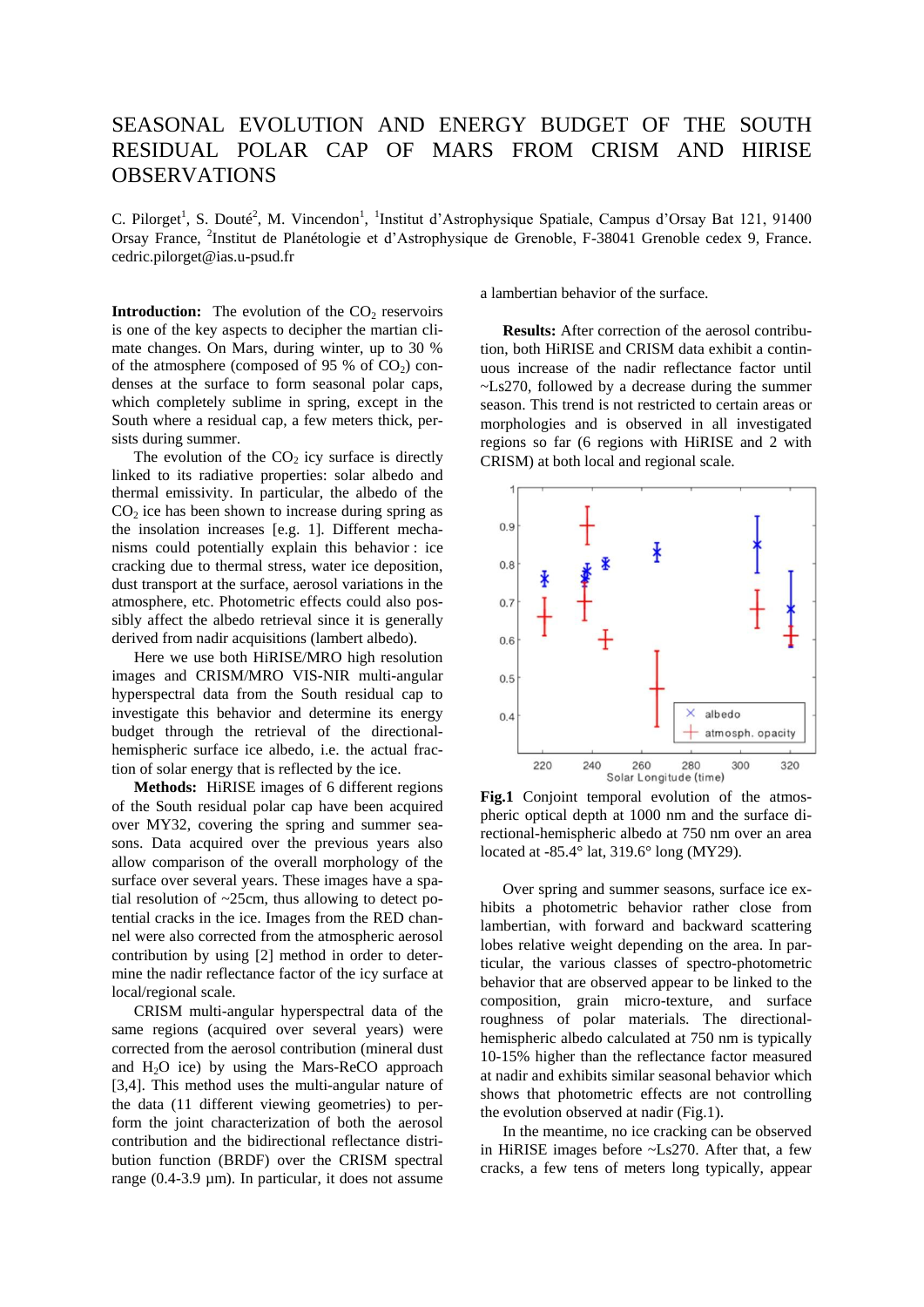## SEASONAL EVOLUTION AND ENERGY BUDGET OF THE SOUTH RESIDUAL POLAR CAP OF MARS FROM CRISM AND HIRISE OBSERVATIONS

C. Pilorget<sup>1</sup>, S. Douté<sup>2</sup>, M. Vincendon<sup>1</sup>, <sup>1</sup>Institut d'Astrophysique Spatiale, Campus d'Orsay Bat 121, 91400 Orsay France, <sup>2</sup>Institut de Planétologie et d'Astrophysique de Grenoble, F-38041 Grenoble cedex 9, France. cedric.pilorget@ias.u-psud.fr

**Introduction:** The evolution of the  $CO<sub>2</sub>$  reservoirs is one of the key aspects to decipher the martian climate changes. On Mars, during winter, up to 30 % of the atmosphere (composed of 95 % of  $CO<sub>2</sub>$ ) condenses at the surface to form seasonal polar caps, which completely sublime in spring, except in the South where a residual cap, a few meters thick, persists during summer.

The evolution of the  $CO<sub>2</sub>$  icy surface is directly linked to its radiative properties: solar albedo and thermal emissivity. In particular, the albedo of the  $CO<sub>2</sub>$  ice has been shown to increase during spring as the insolation increases [e.g. 1]. Different mechanisms could potentially explain this behavior : ice cracking due to thermal stress, water ice deposition, dust transport at the surface, aerosol variations in the atmosphere, etc. Photometric effects could also possibly affect the albedo retrieval since it is generally derived from nadir acquisitions (lambert albedo).

Here we use both HiRISE/MRO high resolution images and CRISM/MRO VIS-NIR multi-angular hyperspectral data from the South residual cap to investigate this behavior and determine its energy budget through the retrieval of the directionalhemispheric surface ice albedo, i.e. the actual fraction of solar energy that is reflected by the ice.

**Methods:** HiRISE images of 6 different regions of the South residual polar cap have been acquired over MY32, covering the spring and summer seasons. Data acquired over the previous years also allow comparison of the overall morphology of the surface over several years. These images have a spatial resolution of  $\sim$ 25cm, thus allowing to detect potential cracks in the ice. Images from the RED channel were also corrected from the atmospheric aerosol contribution by using [2] method in order to determine the nadir reflectance factor of the icy surface at local/regional scale.

CRISM multi-angular hyperspectral data of the same regions (acquired over several years) were corrected from the aerosol contribution (mineral dust and  $H<sub>2</sub>O$  ice) by using the Mars-ReCO approach [3,4]. This method uses the multi-angular nature of the data (11 different viewing geometries) to perform the joint characterization of both the aerosol contribution and the bidirectional reflectance distribution function (BRDF) over the CRISM spectral range (0.4-3.9 µm). In particular, it does not assume

a lambertian behavior of the surface.

**Results:** After correction of the aerosol contribution, both HiRISE and CRISM data exhibit a continuous increase of the nadir reflectance factor until ~Ls270, followed by a decrease during the summer season. This trend is not restricted to certain areas or morphologies and is observed in all investigated regions so far (6 regions with HiRISE and 2 with CRISM) at both local and regional scale.



Fig.1 Conjoint temporal evolution of the atmospheric optical depth at 1000 nm and the surface directional-hemispheric albedo at 750 nm over an area located at -85.4° lat, 319.6° long (MY29).

Over spring and summer seasons, surface ice exhibits a photometric behavior rather close from lambertian, with forward and backward scattering lobes relative weight depending on the area. In particular, the various classes of spectro-photometric behavior that are observed appear to be linked to the composition, grain micro-texture, and surface roughness of polar materials. The directionalhemispheric albedo calculated at 750 nm is typically 10-15% higher than the reflectance factor measured at nadir and exhibits similar seasonal behavior which shows that photometric effects are not controlling the evolution observed at nadir (Fig.1).

In the meantime, no ice cracking can be observed in HiRISE images before ~Ls270. After that, a few cracks, a few tens of meters long typically, appear